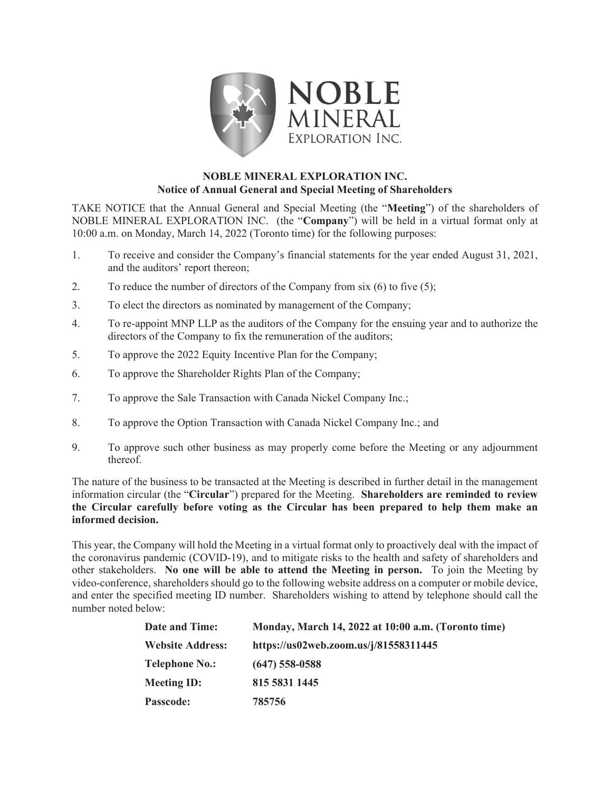

## NOBLE MINERAL EXPLORATION INC. Notice of Annual General and Special Meeting of Shareholders

TAKE NOTICE that the Annual General and Special Meeting (the "Meeting") of the shareholders of NOBLE MINERAL EXPLORATION INC. (the "Company") will be held in a virtual format only at 10:00 a.m. on Monday, March 14, 2022 (Toronto time) for the following purposes:

- 1. To receive and consider the Company's financial statements for the year ended August 31, 2021, and the auditors' report thereon;
- 2. To reduce the number of directors of the Company from  $s$ ix  $(6)$  to five  $(5)$ ;
- 3. To elect the directors as nominated by management of the Company;
- 4. To re-appoint MNP LLP as the auditors of the Company for the ensuing year and to authorize the directors of the Company to fix the remuneration of the auditors;
- 5. To approve the 2022 Equity Incentive Plan for the Company;
- 6. To approve the Shareholder Rights Plan of the Company;
- 7. To approve the Sale Transaction with Canada Nickel Company Inc.;
- 8. To approve the Option Transaction with Canada Nickel Company Inc.; and
- 9. To approve such other business as may properly come before the Meeting or any adjournment thereof.

The nature of the business to be transacted at the Meeting is described in further detail in the management information circular (the "Circular") prepared for the Meeting. Shareholders are reminded to review the Circular carefully before voting as the Circular has been prepared to help them make an informed decision.

This year, the Company will hold the Meeting in a virtual format only to proactively deal with the impact of the coronavirus pandemic (COVID-19), and to mitigate risks to the health and safety of shareholders and other stakeholders. No one will be able to attend the Meeting in person. To join the Meeting by video-conference, shareholders should go to the following website address on a computer or mobile device, and enter the specified meeting ID number. Shareholders wishing to attend by telephone should call the number noted below:

| <b>Date and Time:</b>   | Monday, March 14, 2022 at 10:00 a.m. (Toronto time) |
|-------------------------|-----------------------------------------------------|
| <b>Website Address:</b> | https://us02web.zoom.us/j/81558311445               |
| <b>Telephone No.:</b>   | $(647)$ 558-0588                                    |
| <b>Meeting ID:</b>      | 815 5831 1445                                       |
| Passcode:               | 785756                                              |